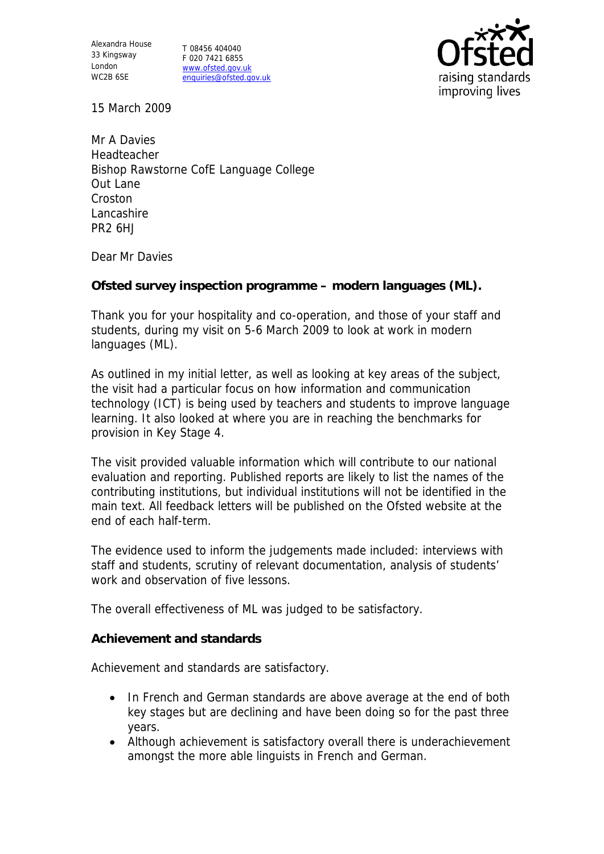Alexandra House 33 Kingsway London WC2B 6SE

T 08456 404040 F 020 7421 6855 www.ofsted.gov.uk enquiries@ofsted.gov.uk



15 March 2009

Mr A Davies Headteacher Bishop Rawstorne CofE Language College Out Lane Croston Lancashire PR2 6HJ

Dear Mr Davies

**Ofsted survey inspection programme – modern languages (ML).**

Thank you for your hospitality and co-operation, and those of your staff and students, during my visit on 5-6 March 2009 to look at work in modern languages (ML).

As outlined in my initial letter, as well as looking at key areas of the subject, the visit had a particular focus on how information and communication technology (ICT) is being used by teachers and students to improve language learning. It also looked at where you are in reaching the benchmarks for provision in Key Stage 4.

The visit provided valuable information which will contribute to our national evaluation and reporting. Published reports are likely to list the names of the contributing institutions, but individual institutions will not be identified in the main text. All feedback letters will be published on the Ofsted website at the end of each half-term.

The evidence used to inform the judgements made included: interviews with staff and students, scrutiny of relevant documentation, analysis of students' work and observation of five lessons.

The overall effectiveness of ML was judged to be satisfactory.

**Achievement and standards**

Achievement and standards are satisfactory.

- In French and German standards are above average at the end of both key stages but are declining and have been doing so for the past three years.
- Although achievement is satisfactory overall there is underachievement amongst the more able linguists in French and German.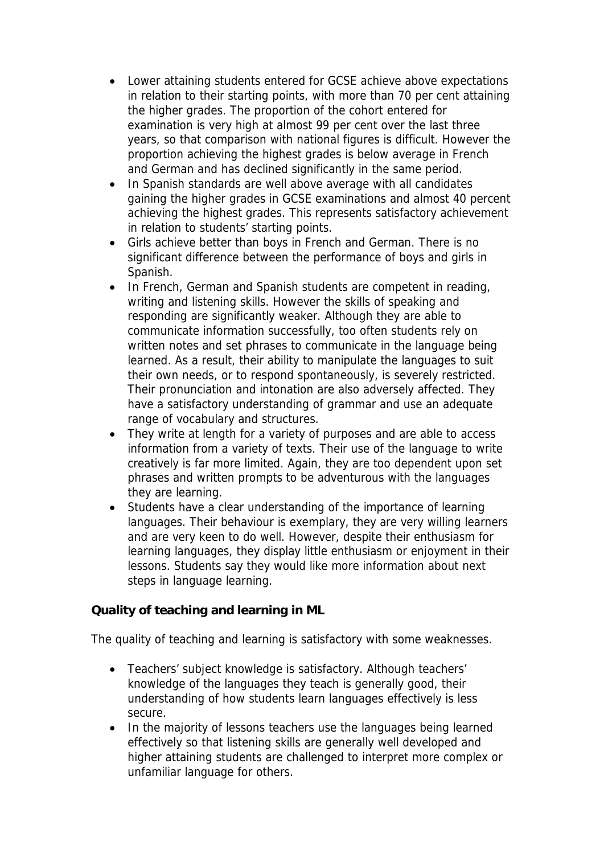- Lower attaining students entered for GCSE achieve above expectations in relation to their starting points, with more than 70 per cent attaining the higher grades. The proportion of the cohort entered for examination is very high at almost 99 per cent over the last three years, so that comparison with national figures is difficult. However the proportion achieving the highest grades is below average in French and German and has declined significantly in the same period.
- In Spanish standards are well above average with all candidates gaining the higher grades in GCSE examinations and almost 40 percent achieving the highest grades. This represents satisfactory achievement in relation to students' starting points.
- Girls achieve better than boys in French and German. There is no significant difference between the performance of boys and girls in Spanish.
- In French, German and Spanish students are competent in reading, writing and listening skills. However the skills of speaking and responding are significantly weaker. Although they are able to communicate information successfully, too often students rely on written notes and set phrases to communicate in the language being learned. As a result, their ability to manipulate the languages to suit their own needs, or to respond spontaneously, is severely restricted. Their pronunciation and intonation are also adversely affected. They have a satisfactory understanding of grammar and use an adequate range of vocabulary and structures.
- They write at length for a variety of purposes and are able to access information from a variety of texts. Their use of the language to write creatively is far more limited. Again, they are too dependent upon set phrases and written prompts to be adventurous with the languages they are learning.
- Students have a clear understanding of the importance of learning languages. Their behaviour is exemplary, they are very willing learners and are very keen to do well. However, despite their enthusiasm for learning languages, they display little enthusiasm or enjoyment in their lessons. Students say they would like more information about next steps in language learning.

**Quality of teaching and learning in ML**

The quality of teaching and learning is satisfactory with some weaknesses.

- Teachers' subject knowledge is satisfactory. Although teachers' knowledge of the languages they teach is generally good, their understanding of how students learn languages effectively is less secure.
- In the majority of lessons teachers use the languages being learned effectively so that listening skills are generally well developed and higher attaining students are challenged to interpret more complex or unfamiliar language for others.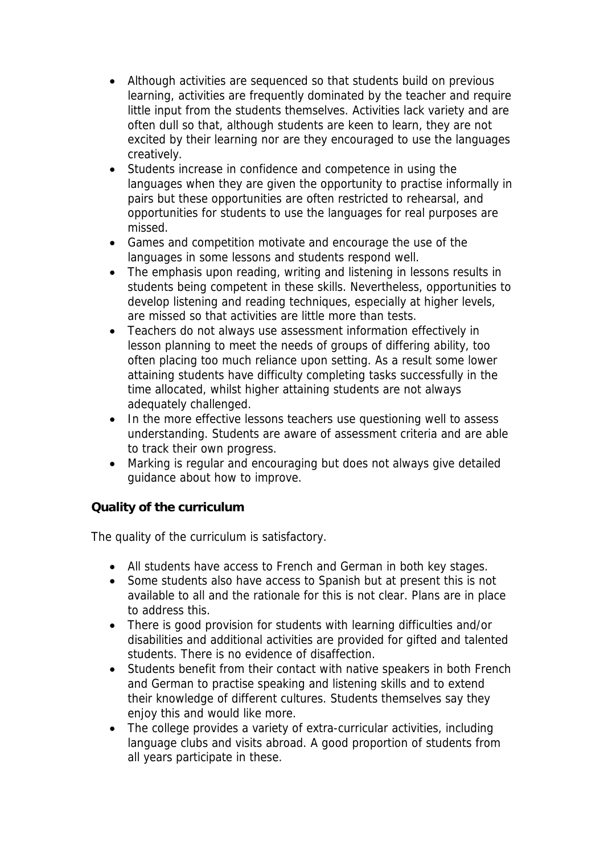- Although activities are sequenced so that students build on previous learning, activities are frequently dominated by the teacher and require little input from the students themselves. Activities lack variety and are often dull so that, although students are keen to learn, they are not excited by their learning nor are they encouraged to use the languages creatively.
- Students increase in confidence and competence in using the languages when they are given the opportunity to practise informally in pairs but these opportunities are often restricted to rehearsal, and opportunities for students to use the languages for real purposes are missed.
- Games and competition motivate and encourage the use of the languages in some lessons and students respond well.
- The emphasis upon reading, writing and listening in lessons results in students being competent in these skills. Nevertheless, opportunities to develop listening and reading techniques, especially at higher levels, are missed so that activities are little more than tests.
- Teachers do not always use assessment information effectively in lesson planning to meet the needs of groups of differing ability, too often placing too much reliance upon setting. As a result some lower attaining students have difficulty completing tasks successfully in the time allocated, whilst higher attaining students are not always adequately challenged.
- In the more effective lessons teachers use questioning well to assess understanding. Students are aware of assessment criteria and are able to track their own progress.
- Marking is regular and encouraging but does not always give detailed guidance about how to improve.

**Quality of the curriculum**

The quality of the curriculum is satisfactory.

- All students have access to French and German in both key stages.
- Some students also have access to Spanish but at present this is not available to all and the rationale for this is not clear. Plans are in place to address this.
- There is good provision for students with learning difficulties and/or disabilities and additional activities are provided for gifted and talented students. There is no evidence of disaffection.
- Students benefit from their contact with native speakers in both French and German to practise speaking and listening skills and to extend their knowledge of different cultures. Students themselves say they enjoy this and would like more.
- The college provides a variety of extra-curricular activities, including language clubs and visits abroad. A good proportion of students from all years participate in these.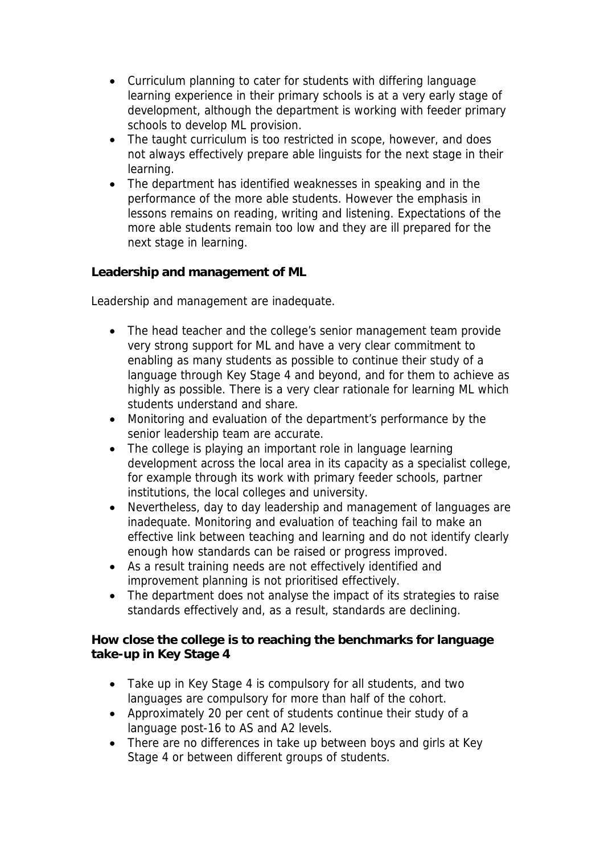- Curriculum planning to cater for students with differing language learning experience in their primary schools is at a very early stage of development, although the department is working with feeder primary schools to develop ML provision.
- The taught curriculum is too restricted in scope, however, and does not always effectively prepare able linguists for the next stage in their learning.
- The department has identified weaknesses in speaking and in the performance of the more able students. However the emphasis in lessons remains on reading, writing and listening. Expectations of the more able students remain too low and they are ill prepared for the next stage in learning.

**Leadership and management of ML**

Leadership and management are inadequate.

- The head teacher and the college's senior management team provide very strong support for ML and have a very clear commitment to enabling as many students as possible to continue their study of a language through Key Stage 4 and beyond, and for them to achieve as highly as possible. There is a very clear rationale for learning ML which students understand and share.
- Monitoring and evaluation of the department's performance by the senior leadership team are accurate.
- The college is playing an important role in language learning development across the local area in its capacity as a specialist college, for example through its work with primary feeder schools, partner institutions, the local colleges and university.
- Nevertheless, day to day leadership and management of languages are inadequate. Monitoring and evaluation of teaching fail to make an effective link between teaching and learning and do not identify clearly enough how standards can be raised or progress improved.
- As a result training needs are not effectively identified and improvement planning is not prioritised effectively.
- The department does not analyse the impact of its strategies to raise standards effectively and, as a result, standards are declining.

**How close the college is to reaching the benchmarks for language take-up in Key Stage 4**

- Take up in Key Stage 4 is compulsory for all students, and two languages are compulsory for more than half of the cohort.
- Approximately 20 per cent of students continue their study of a language post-16 to AS and A2 levels.
- There are no differences in take up between boys and girls at Key Stage 4 or between different groups of students.